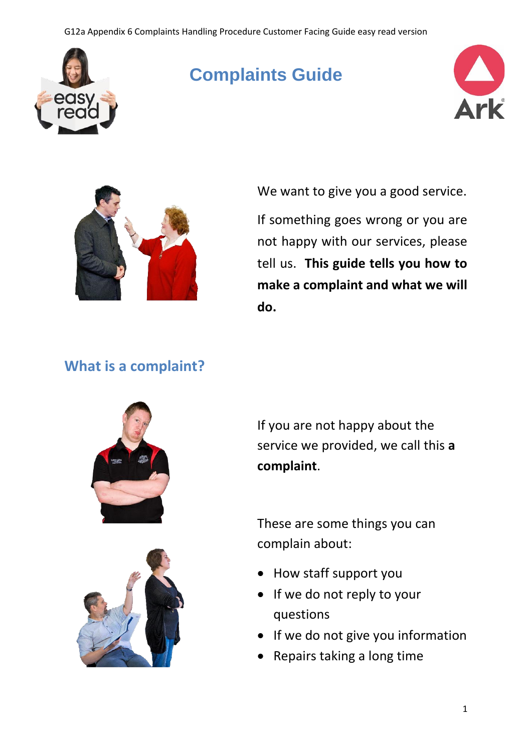#### G12a Appendix 6 Complaints Handling Procedure Customer Facing Guide easy read version



# **Complaints Guide**





We want to give you a good service.

If something goes wrong or you are not happy with our services, please tell us. **This guide tells you how to make a complaint and what we will do.** 

### **What is a complaint?**





If you are not happy about the service we provided, we call this **a complaint**.

These are some things you can complain about:

- How staff support you
- If we do not reply to your questions
- If we do not give you information
- Repairs taking a long time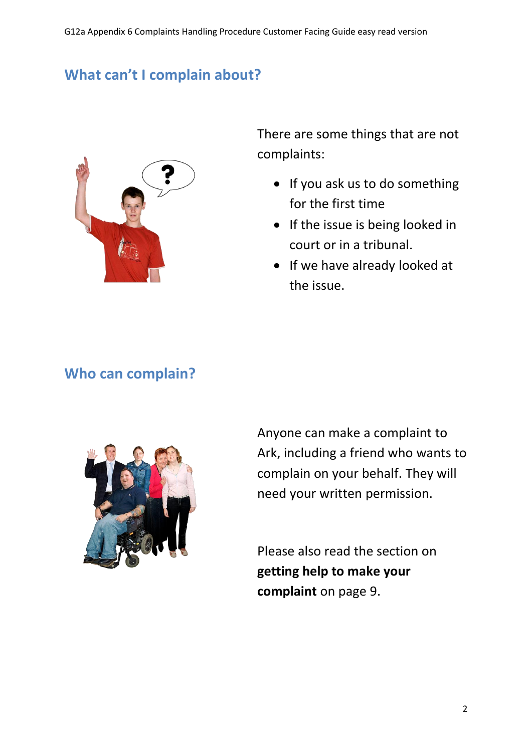# **What can't I complain about?**



There are some things that are not complaints:

- If you ask us to do something for the first time
- If the issue is being looked in court or in a tribunal.
- If we have already looked at the issue.

#### **Who can complain?**



Anyone can make a complaint to Ark, including a friend who wants to complain on your behalf. They will need your written permission.

Please also read the section on **getting help to make your complaint** on page 9.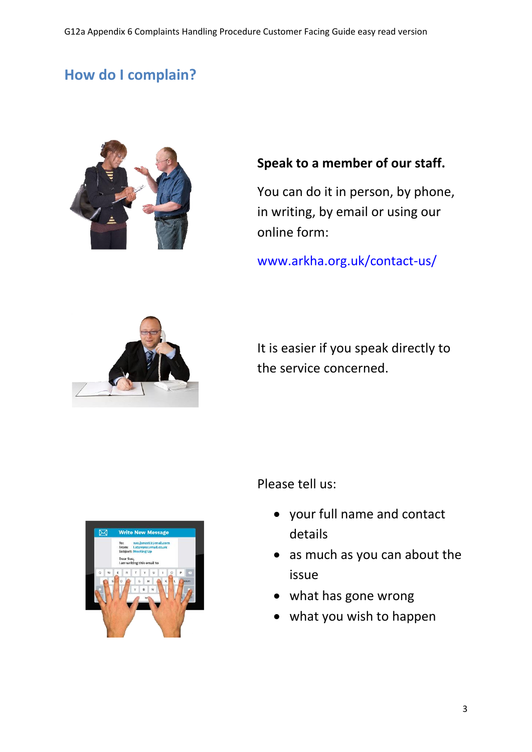# **How do I complain?**



#### **Speak to a member of our staff.**

You can do it in person, by phone, in writing, by email or using our online form:

[www.arkha.org.uk/contact-us/](file://///arkfs01/userfolders/ggreganti/Desktop/www.arkha.org.uk/contact-us/)



It is easier if you speak directly to the service concerned.



- your full name and contact details
- as much as you can about the issue
- what has gone wrong
- what you wish to happen

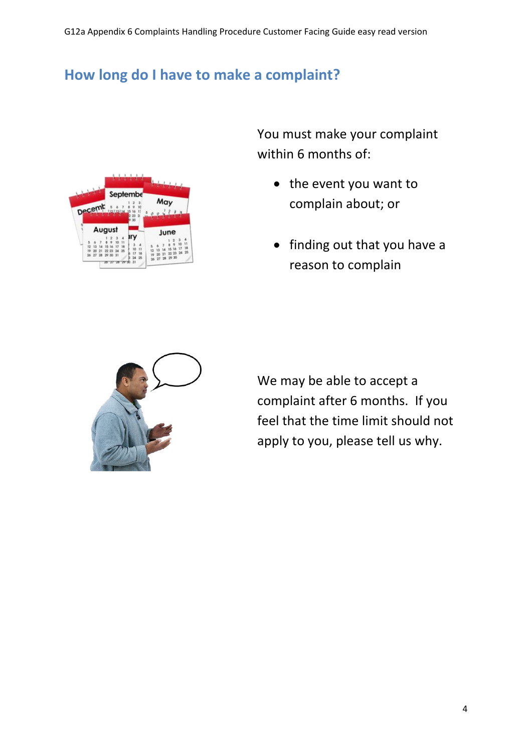# **How long do I have to make a complaint?**



You must make your complaint within 6 months of:

- the event you want to complain about; or
- finding out that you have a reason to complain



We may be able to accept a complaint after 6 months. If you feel that the time limit should not apply to you, please tell us why.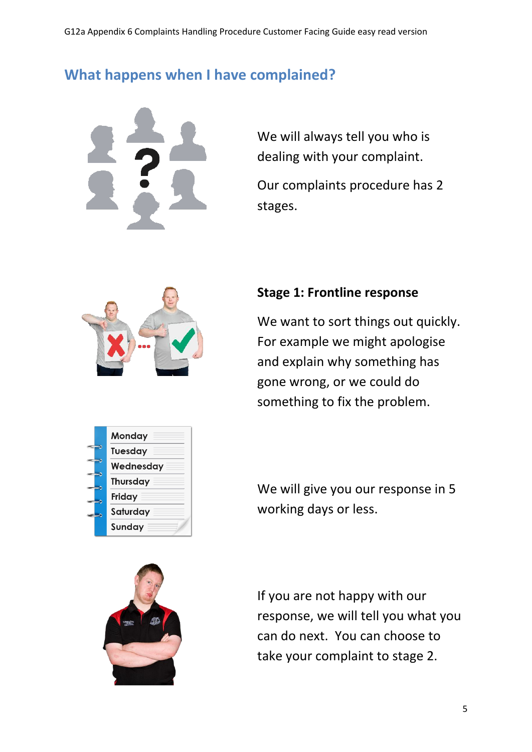### **What happens when I have complained?**



We will always tell you who is dealing with your complaint.

Our complaints procedure has 2 stages.



#### **Stage 1: Frontline response**

We want to sort things out quickly. For example we might apologise and explain why something has gone wrong, or we could do something to fix the problem.



We will give you our response in 5 working days or less.



If you are not happy with our response, we will tell you what you can do next. You can choose to take your complaint to stage 2.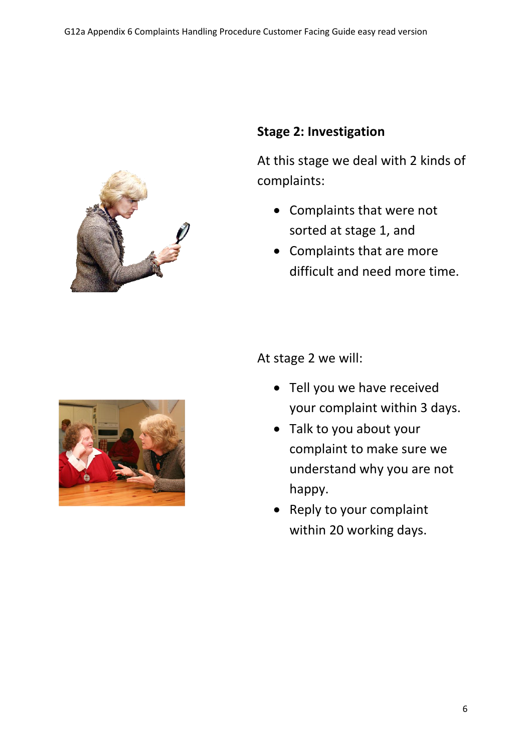

#### **Stage 2: Investigation**

At this stage we deal with 2 kinds of complaints:

- Complaints that were not sorted at stage 1, and
- Complaints that are more difficult and need more time.

At stage 2 we will:

- Tell you we have received your complaint within 3 days.
- Talk to you about your complaint to make sure we understand why you are not happy.
- Reply to your complaint within 20 working days.

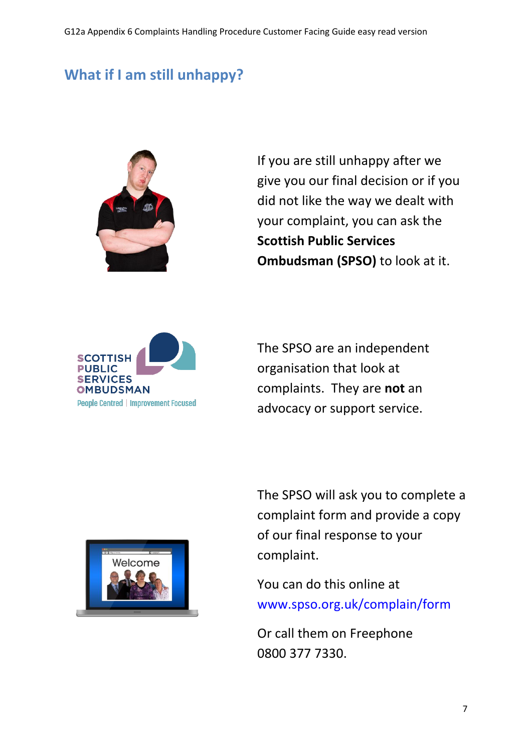# **What if I am still unhappy?**



If you are still unhappy after we give you our final decision or if you did not like the way we dealt with your complaint, you can ask the **Scottish Public Services Ombudsman (SPSO)** to look at it.



The SPSO are an independent organisation that look at complaints. They are **not** an advocacy or support service.



The SPSO will ask you to complete a complaint form and provide a copy of our final response to your complaint.

You can do this online at [www.spso.org.uk/complain/form](http://www.spso.org.uk/complain/form)

Or call them on Freephone 0800 377 7330.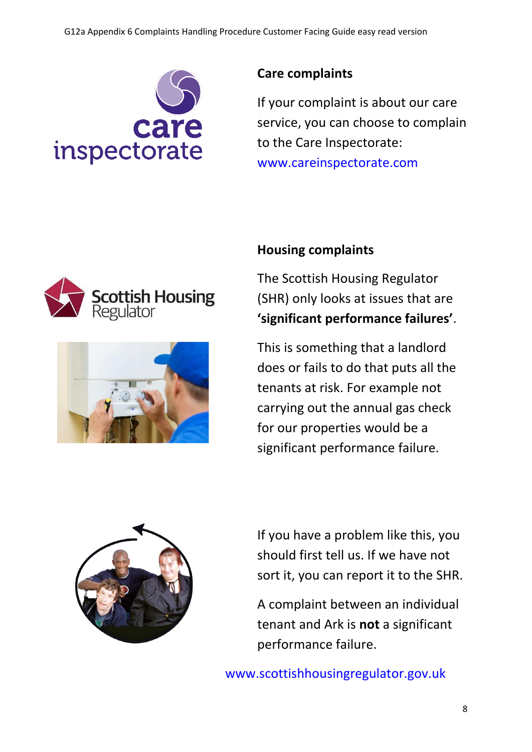

#### **Care complaints**

If your complaint is about our care service, you can choose to complain to the Care Inspectorate: [www.careinspectorate.com](http://www.careinspectorate.com/)





#### **Housing complaints**

The Scottish Housing Regulator (SHR) only looks at issues that are **'significant performance failures'**.

This is something that a landlord does or fails to do that puts all the tenants at risk. For example not carrying out the annual gas check for our properties would be a significant performance failure.



If you have a problem like this, you should first tell us. If we have not sort it, you can report it to the SHR.

A complaint between an individual tenant and Ark is **not** a significant performance failure.

[www.scottishhousingregulator.gov.uk](http://www.scottishhousingregulator.gov.uk/)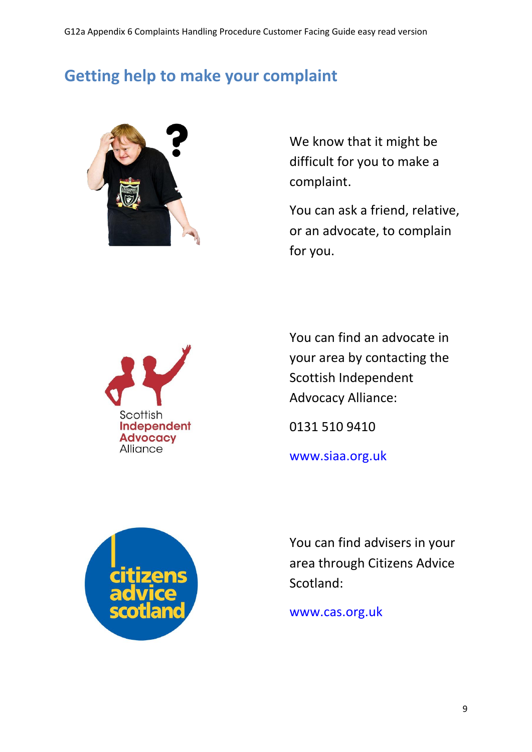# **Getting help to make your complaint**



We know that it might be difficult for you to make a complaint.

You can ask a friend, relative, or an advocate, to complain for you.



You can find an advocate in your area by contacting the Scottish Independent Advocacy Alliance:

0131 510 9410

[www.siaa.org.uk](http://www.siaa.org.uk/)



You can find advisers in your area through Citizens Advice Scotland:

[www.cas.org.uk](http://www.cas.org.uk/)